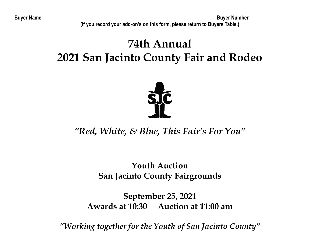**Buyer Name \_\_\_\_\_\_\_\_\_\_\_\_\_\_\_\_\_\_\_\_\_\_\_\_\_\_\_\_\_\_\_\_\_\_\_\_\_\_\_\_\_\_\_\_\_\_\_\_\_ Buyer Number\_\_\_\_\_\_\_\_\_\_\_\_\_\_\_\_\_\_**

(If you record your add-on's on this form, please return to Buyers Table.)

# **74th Annual 2021 San Jacinto County Fair and Rodeo**



# *<u><sup><i>'*</sup>Red, White, & Blue, This Fair's For You''</u>

# **Youth Auction San Jacinto County Fairgrounds**

## **September 25, 2021 Awards at 10:30 Auction at 11:00 am**

"Working together for the Youth of San Jacinto County"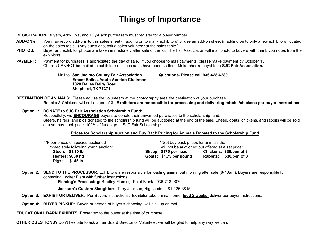## **Things of Importance**

**REGISTRATION:** Buyers, Add-On's, and Buy-Back purchasers must register for a buyer number.

- **ADD-ON's:** You may record add-ons to this sales sheet (if adding on to many exhibitors) or use an add-on sheet (if adding on to only a few exhibitors) located on the sales table. (Any questions, ask a sales volunteer at the sales table.)
- **PHOTOS:** Buyer and exhibitor photos are taken immediately after sale of the lot. The Fair Association will mail photo to buyers with thank you notes from the exhibitors.
- **PAYMENT:** Payment for purchases is appreciated the day of sale. If you choose to mail payments, please make payment by October 15. Checks CANNOT be mailed to exhibitors until accounts have been settled. Make checks payable to **SJC Fair Association.**

Mail to: **San Jacinto County Fair Association Questions- Please call 936-628-6280 Ernest Bailes, Youth Auction Chairman 1020 Bailes Dairy Road Shepherd, TX 77371**

**DESTINATION OF ANIMALS:** Please advise the volunteers at the photography area the destination of your purchase. Rabbits & Chickens will sell as pen of 3. **Exhibitors are responsible for processing and delivering rabbits/chickens per buyer instructions.**

#### **Option 1: DONATE to SJC Fair Association Scholarship Fund:**

Respectfully, we **ENCOURAGE** buyers to donate their unwanted purchases to the scholarship fund. Steers, heifers, and pigs donated to the scholarship fund will be auctioned at the end of the sale. Sheep, goats, chickens, and rabbits will be sold at a set buy-back price. 100% of funds go to SJC Fair Scholarships.

| Prices for Scholarship Auction and Buy Back Pricing for Animals Donated to the Scholarship Fund |                                                                                              |                         |
|-------------------------------------------------------------------------------------------------|----------------------------------------------------------------------------------------------|-------------------------|
| ** Floor prices of species auctioned<br>immediately following youth auction:                    | ** Set buy back prices for animals that<br>will not be auctioned but offered at a set price: |                         |
| <b>Steers: \$1.10 lb</b>                                                                        | Sheep: \$175 per head                                                                        | Chickens: \$30/pen of 3 |
| Heifers: \$800 hd                                                                               | Goats: \$1.75 per pound                                                                      | Rabbits: \$30/pen of 3  |
| \$.45 lb<br>Pigs:                                                                               |                                                                                              |                         |

**Option 2: SEND TO THE PROCESSOR:** Exhibitors are responsible for loading animal out morning after sale (8-10am). Buyers are responsible for contacting Locker Plant with further instructions.

Fleming's Processing: Bradley Fleming, Point Blank 936-718-9079

**Jackson's Custom Slaughter:** Terry Jackson, Highlands 281-426-3815

- **Option 3: EXHIBITOR DELIVER:** Per Buyers Instructions. Exhibitor take animal home, **feed 2 weeks,** deliver per buyer instructions.
- **Option 4: BUYER PICKUP:** Buyer, or person of buyer's choosing, will pick up animal.
- **EDUCATIONAL BARN EXHIBITS:** Presented to the buyer at the time of purchase.

**OTHER QUESTIONS?** Don't hesitate to ask a Fair Board Director or Volunteer, we will be glad to help any way we can.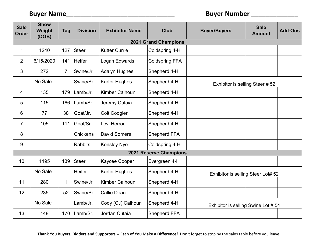| <b>Sale</b><br><b>Order</b> | <b>Show</b><br>Weight<br>(DOB) | <b>Tag</b>     | <b>Division</b> | <b>Exhibitor Name</b> | <b>Club</b>            | <b>Buyer/Buyers</b>                | <b>Sale</b><br><b>Amount</b> | <b>Add-Ons</b> |
|-----------------------------|--------------------------------|----------------|-----------------|-----------------------|------------------------|------------------------------------|------------------------------|----------------|
| <b>2021 Grand Champions</b> |                                |                |                 |                       |                        |                                    |                              |                |
| $\mathbf{1}$                | 1240                           | 127            | Steer           | <b>Kutter Currie</b>  | Coldspring 4-H         |                                    |                              |                |
| $\overline{2}$              | 6/15/2020                      | 141            | <b>Heifer</b>   | Logan Edwards         | <b>Coldspring FFA</b>  |                                    |                              |                |
| 3                           | 272                            | $\overline{7}$ | Swine/Jr.       | <b>Adalyn Hughes</b>  | Shepherd 4-H           |                                    |                              |                |
|                             | No Sale                        |                | Swine/Sr.       | <b>Karter Hughes</b>  | Shepherd 4-H           | Exhibitor is selling Steer # 52    |                              |                |
| 4                           | 135                            | 179            | Lamb/Jr.        | <b>Kimber Calhoun</b> | Shepherd 4-H           |                                    |                              |                |
| 5                           | 115                            | 166            | Lamb/Sr.        | Jeremy Cutaia         | Shepherd 4-H           |                                    |                              |                |
| 6                           | 77                             | 38             | Goat/Jr.        | <b>Colt Coogler</b>   | Shepherd 4-H           |                                    |                              |                |
| $\overline{7}$              | 105                            | 111            | Goat/Sr.        | Levi Herrod           | Shepherd 4-H           |                                    |                              |                |
| 8                           |                                |                | <b>Chickens</b> | <b>David Somers</b>   | Shepherd FFA           |                                    |                              |                |
| 9                           |                                |                | <b>Rabbits</b>  | <b>Kensley Nye</b>    | Coldspring 4-H         |                                    |                              |                |
|                             |                                |                |                 |                       | 2021 Reserve Champions |                                    |                              |                |
| 10                          | 1195                           | 139            | <b>Steer</b>    | Kaycee Cooper         | Evergreen 4-H          |                                    |                              |                |
|                             | No Sale                        |                | <b>Heifer</b>   | <b>Karter Hughes</b>  | Shepherd 4-H           | Exhibitor is selling Steer Lot# 52 |                              |                |
| 11                          | 280                            | $\mathbf 1$    | Swine/Jr.       | Kimber Calhoun        | Shepherd 4-H           |                                    |                              |                |
| 12                          | 235                            | 52             | Swine/Sr.       | Callie Dean           | Shepherd 4-H           |                                    |                              |                |
|                             | No Sale                        |                | Lamb/Jr.        | Cody (CJ) Calhoun     | Shepherd 4-H           | Exhibitor is selling Swine Lot #54 |                              |                |
| 13                          | 148                            | 170            | Lamb/Sr.        | Jordan Cutaia         | Shepherd FFA           |                                    |                              |                |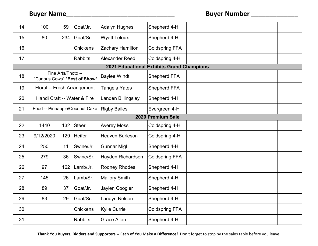| 14                | 100                            | 59                 | Goat/Jr.        | <b>Adalyn Hughes</b>                      | Shepherd 4-H          |  |  |  |
|-------------------|--------------------------------|--------------------|-----------------|-------------------------------------------|-----------------------|--|--|--|
| 15                | 80                             | 234                | Goat/Sr.        | <b>Wyatt Leloux</b>                       | Shepherd 4-H          |  |  |  |
| 16                |                                |                    | <b>Chickens</b> | Zachary Hamilton                          | <b>Coldspring FFA</b> |  |  |  |
| 17                |                                |                    | <b>Rabbits</b>  | Alexander Reed                            | Coldspring 4-H        |  |  |  |
|                   |                                |                    |                 | 2021 Educational Exhibits Grand Champions |                       |  |  |  |
| 18                | "Curious Cows" *Best of Show*  | Fine Arts/Photo -- |                 | <b>Baylee Windt</b>                       | Shepherd FFA          |  |  |  |
| 19                | Floral -- Fresh Arrangement    |                    |                 | Tangela Yates                             | <b>Shepherd FFA</b>   |  |  |  |
| 20                | Handi Craft -- Water & Fire    |                    |                 | Landen Billingsley                        | Shepherd 4-H          |  |  |  |
| 21                | Food -- Pineapple/Coconut Cake |                    |                 | <b>Rigby Bailes</b>                       | Evergreen 4-H         |  |  |  |
| 2020 Premium Sale |                                |                    |                 |                                           |                       |  |  |  |
| 22                | 1440                           | 132                | Steer           | <b>Averey Moss</b>                        | Coldspring 4-H        |  |  |  |
| 23                | 9/12/2020                      | 129                | Heifer          | Heaven Burleson                           | Coldspring 4-H        |  |  |  |
| 24                | 250                            | 11                 | Swine/Jr.       | <b>Gunnar Migl</b>                        | Shepherd 4-H          |  |  |  |
| 25                | 279                            | 36                 | Swine/Sr.       | Hayden Richardson                         | <b>Coldspring FFA</b> |  |  |  |
| 26                | 97                             | 162                | Lamb/Jr.        | <b>Rodney Rhodes</b>                      | Shepherd 4-H          |  |  |  |
| 27                | 145                            | 26                 | Lamb/Sr.        | <b>Mallory Smith</b>                      | Shepherd 4-H          |  |  |  |
| 28                | 89                             | 37                 | Goat/Jr.        | Jaylen Coogler                            | Shepherd 4-H          |  |  |  |
| 29                | 83                             | 29                 | Goat/Sr.        | Landyn Nelson                             | Shepherd 4-H          |  |  |  |
| 30                |                                |                    | <b>Chickens</b> | <b>Kylie Currie</b>                       | <b>Coldspring FFA</b> |  |  |  |
| 31                |                                |                    | <b>Rabbits</b>  | <b>Grace Allen</b>                        | Shepherd 4-H          |  |  |  |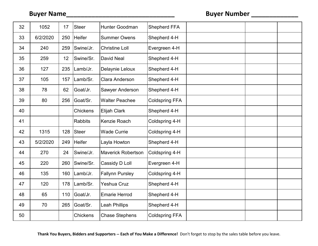| 32 | 1052     | 17  | <b>Steer</b>   | Hunter Goodman            | Shepherd FFA          |  |  |
|----|----------|-----|----------------|---------------------------|-----------------------|--|--|
| 33 | 6/2/2020 | 250 | <b>Heifer</b>  | <b>Summer Owens</b>       | Shepherd 4-H          |  |  |
| 34 | 240      | 259 | Swine/Jr.      | <b>Christine Loll</b>     | Evergreen 4-H         |  |  |
| 35 | 259      | 12  | Swine/Sr.      | David Neal                | Shepherd 4-H          |  |  |
| 36 | 127      | 235 | Lamb/Jr.       | Delaynie Leloux           | Shepherd 4-H          |  |  |
| 37 | 105      | 157 | Lamb/Sr.       | Clara Anderson            | Shepherd 4-H          |  |  |
| 38 | 78       | 62  | Goat/Jr.       | Sawyer Anderson           | Shepherd 4-H          |  |  |
| 39 | 80       | 256 | Goat/Sr.       | <b>Walter Peachee</b>     | <b>Coldspring FFA</b> |  |  |
| 40 |          |     | Chickens       | Elijah Clark              | Shepherd 4-H          |  |  |
| 41 |          |     | <b>Rabbits</b> | Kenzie Roach              | Coldspring 4-H        |  |  |
| 42 | 1315     | 128 | Steer          | <b>Wade Currie</b>        | Coldspring 4-H        |  |  |
| 43 | 5/2/2020 | 249 | Heifer         | Layla Howton              | Shepherd 4-H          |  |  |
| 44 | 270      | 24  | Swine/Jr.      | <b>Maverick Robertson</b> | Coldspring 4-H        |  |  |
| 45 | 220      | 260 | Swine/Sr.      | Cassidy D Loll            | Evergreen 4-H         |  |  |
| 46 | 135      | 160 | Lamb/Jr.       | <b>Fallynn Pursley</b>    | Coldspring 4-H        |  |  |
| 47 | 120      | 178 | Lamb/Sr.       | Yeshua Cruz               | Shepherd 4-H          |  |  |
| 48 | 65       | 110 | Goat/Jr.       | <b>Emarie Herrod</b>      | Shepherd 4-H          |  |  |
| 49 | 70       | 265 | Goat/Sr.       | <b>Leah Phillips</b>      | Shepherd 4-H          |  |  |
| 50 |          |     | Chickens       | <b>Chase Stephens</b>     | <b>Coldspring FFA</b> |  |  |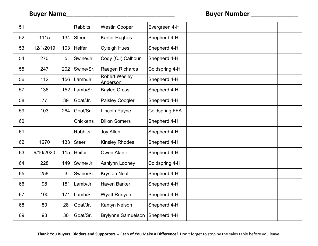| 51 |           |     | <b>Rabbits</b> | <b>Westin Cooper</b>      | Evergreen 4-H         |  |  |
|----|-----------|-----|----------------|---------------------------|-----------------------|--|--|
| 52 | 1115      | 134 | Steer          | <b>Karter Hughes</b>      | Shepherd 4-H          |  |  |
| 53 | 12/1/2019 | 103 | <b>Heifer</b>  | <b>Cyleigh Hues</b>       | Shepherd 4-H          |  |  |
| 54 | 270       | 5   | Swine/Jr.      | Cody (CJ) Calhoun         | Shepherd 4-H          |  |  |
| 55 | 247       | 202 | Swine/Sr.      | Raegen Richards           | Coldspring 4-H        |  |  |
| 56 | 112       | 156 | Lamb/Jr.       | Robert Wesley<br>Anderson | Shepherd 4-H          |  |  |
| 57 | 136       | 152 | Lamb/Sr.       | <b>Baylee Cross</b>       | Shepherd 4-H          |  |  |
| 58 | 77        | 39  | Goat/Jr.       | Paisley Coogler           | Shepherd 4-H          |  |  |
| 59 | 103       | 264 | Goat/Sr.       | Lincoln Payne             | <b>Coldspring FFA</b> |  |  |
| 60 |           |     | Chickens       | <b>Dillon Somers</b>      | Shepherd 4-H          |  |  |
| 61 |           |     | <b>Rabbits</b> | Joy Allen                 | Shepherd 4-H          |  |  |
| 62 | 1270      | 133 | Steer          | <b>Kinsley Rhodes</b>     | Shepherd 4-H          |  |  |
| 63 | 9/10/2020 | 115 | Heifer         | Owen Alaniz               | Shepherd 4-H          |  |  |
| 64 | 228       | 149 | Swine/Jr.      | Ashlynn Looney            | Coldspring 4-H        |  |  |
| 65 | 258       | 3   | Swine/Sr.      | <b>Krysten Neal</b>       | Shepherd 4-H          |  |  |
| 66 | 98        | 151 | Lamb/Jr.       | Haven Barker              | Shepherd 4-H          |  |  |
| 67 | 100       | 171 | Lamb/Sr.       | <b>Wyatt Runyon</b>       | Shepherd 4-H          |  |  |
| 68 | 80        | 28  | Goat/Jr.       | Kantyn Nelson             | Shepherd 4-H          |  |  |
| 69 | 93        | 30  | Goat/Sr.       | <b>Brylynne Samuelson</b> | Shepherd 4-H          |  |  |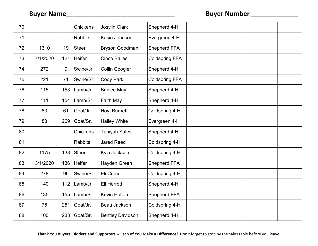| 70 |          |     | Chickens        | Josylin Clark           | Shepherd 4-H          |  |  |
|----|----------|-----|-----------------|-------------------------|-----------------------|--|--|
| 71 |          |     | <b>Rabbits</b>  | Kasin Johnson           | Evergreen 4-H         |  |  |
| 72 | 1310     | 19  | <b>Steer</b>    | <b>Bryson Goodman</b>   | Shepherd FFA          |  |  |
| 73 | 7/1/2020 | 121 | <b>Heifer</b>   | <b>Cinco Bailes</b>     | <b>Coldspring FFA</b> |  |  |
| 74 | 272      | 9   | Swine/Jr.       | <b>Collin Coogler</b>   | Shepherd 4-H          |  |  |
| 75 | 221      | 71  | Swine/Sr.       | <b>Cody Park</b>        | <b>Coldspring FFA</b> |  |  |
| 76 | 115      | 153 | Lamb/Jr.        | <b>Brinlee May</b>      | Shepherd 4-H          |  |  |
| 77 | 111      | 154 | Lamb/Sr.        | Faith May               | Shepherd 4-H          |  |  |
| 78 | 83       | 61  | Goat/Jr.        | <b>Hoyt Burnett</b>     | Coldspring 4-H        |  |  |
| 79 | 83       | 269 | Goat/Sr.        | <b>Hailey White</b>     | Evergreen 4-H         |  |  |
| 80 |          |     | <b>Chickens</b> | <b>Taniyah Yates</b>    | Shepherd 4-H          |  |  |
| 81 |          |     | <b>Rabbits</b>  | <b>Jared Reed</b>       | Coldspring 4-H        |  |  |
| 82 | 1175     | 138 | Steer           | Kyia Jackson            | Coldspring 4-H        |  |  |
| 83 | 3/1/2020 | 136 | Heifer          | Hayden Green            | Shepherd FFA          |  |  |
| 84 | 278      | 96  | Swine/Sr.       | Eli Currie              | Coldspring 4-H        |  |  |
| 85 | 140      | 112 | Lamb/Jr.        | Eli Herrod              | Shepherd 4-H          |  |  |
| 86 | 135      | 155 | Lamb/Sr.        | <b>Kevin Haltom</b>     | Shepherd FFA          |  |  |
| 87 | 75       | 251 | Goat/Jr.        | Beau Jackson            | Coldspring 4-H        |  |  |
| 88 | 100      | 233 | Goat/Sr.        | <b>Bentley Davidson</b> | Shepherd 4-H          |  |  |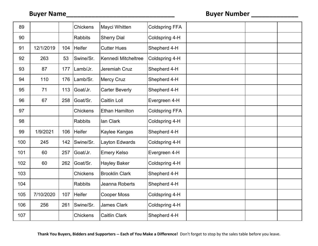| 89  |           |     | Chickens        | Mayci Whitten         | <b>Coldspring FFA</b> |  |  |
|-----|-----------|-----|-----------------|-----------------------|-----------------------|--|--|
| 90  |           |     | <b>Rabbits</b>  | <b>Sherry Dial</b>    | Coldspring 4-H        |  |  |
| 91  | 12/1/2019 | 104 | <b>Heifer</b>   | <b>Cutter Hues</b>    | Shepherd 4-H          |  |  |
| 92  | 263       | 53  | Swine/Sr.       | Kennedi Mitcheltree   | Coldspring 4-H        |  |  |
| 93  | 87        | 177 | Lamb/Jr.        | Jeremiah Cruz         | Shepherd 4-H          |  |  |
| 94  | 110       | 176 | Lamb/Sr.        | <b>Mercy Cruz</b>     | Shepherd 4-H          |  |  |
| 95  | 71        | 113 | Goat/Jr.        | <b>Carter Beverly</b> | Shepherd 4-H          |  |  |
| 96  | 67        | 258 | Goat/Sr.        | <b>Caitlin Loll</b>   | Evergreen 4-H         |  |  |
| 97  |           |     | <b>Chickens</b> | <b>Ethan Hamilton</b> | <b>Coldspring FFA</b> |  |  |
| 98  |           |     | <b>Rabbits</b>  | lan Clark             | Coldspring 4-H        |  |  |
| 99  | 1/9/2021  | 106 | Heifer          | Kaylee Kangas         | Shepherd 4-H          |  |  |
| 100 | 245       | 142 | Swine/Sr.       | Layton Edwards        | Coldspring 4-H        |  |  |
| 101 | 60        | 257 | Goat/Jr.        | <b>Emery Kelso</b>    | Evergreen 4-H         |  |  |
| 102 | 60        | 262 | Goat/Sr.        | <b>Hayley Baker</b>   | Coldspring 4-H        |  |  |
| 103 |           |     | Chickens        | <b>Brooklin Clark</b> | Shepherd 4-H          |  |  |
| 104 |           |     | <b>Rabbits</b>  | Jeanna Roberts        | Shepherd 4-H          |  |  |
| 105 | 7/10/2020 | 107 | <b>Heifer</b>   | <b>Cooper Moss</b>    | Coldspring 4-H        |  |  |
| 106 | 256       | 261 | Swine/Sr.       | James Clark           | Coldspring 4-H        |  |  |
| 107 |           |     | <b>Chickens</b> | <b>Caitlin Clark</b>  | Shepherd 4-H          |  |  |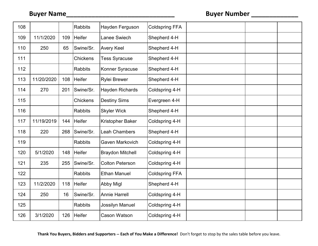| 108 |            |     | <b>Rabbits</b>  | Hayden Ferguson         | <b>Coldspring FFA</b> |  |  |
|-----|------------|-----|-----------------|-------------------------|-----------------------|--|--|
| 109 | 11/1/2020  | 109 | <b>Heifer</b>   | Lanee Swiech            | Shepherd 4-H          |  |  |
| 110 | 250        | 65  | Swine/Sr.       | <b>Avery Keel</b>       | Shepherd 4-H          |  |  |
| 111 |            |     | <b>Chickens</b> | <b>Tess Syracuse</b>    | Shepherd 4-H          |  |  |
| 112 |            |     | <b>Rabbits</b>  | Konner Syracuse         | Shepherd 4-H          |  |  |
| 113 | 11/20/2020 | 108 | <b>Heifer</b>   | <b>Rylei Brewer</b>     | Shepherd 4-H          |  |  |
| 114 | 270        | 201 | Swine/Sr.       | Hayden Richards         | Coldspring 4-H        |  |  |
| 115 |            |     | <b>Chickens</b> | <b>Destiny Sims</b>     | Evergreen 4-H         |  |  |
| 116 |            |     | <b>Rabbits</b>  | <b>Skyler Wick</b>      | Shepherd 4-H          |  |  |
| 117 | 11/19/2019 | 144 | <b>Heifer</b>   | Kristopher Baker        | Coldspring 4-H        |  |  |
| 118 | 220        | 268 | Swine/Sr.       | <b>Leah Chambers</b>    | Shepherd 4-H          |  |  |
| 119 |            |     | <b>Rabbits</b>  | Gaven Markovich         | Coldspring 4-H        |  |  |
| 120 | 5/1/2020   | 148 | <b>Heifer</b>   | <b>Braydon Mitchell</b> | Coldspring 4-H        |  |  |
| 121 | 235        | 255 | Swine/Sr.       | <b>Colton Peterson</b>  | Coldspring 4-H        |  |  |
| 122 |            |     | <b>Rabbits</b>  | <b>Ethan Manuel</b>     | <b>Coldspring FFA</b> |  |  |
| 123 | 11/2/2020  | 118 | <b>Heifer</b>   | <b>Abby Migl</b>        | Shepherd 4-H          |  |  |
| 124 | 250        | 16  | Swine/Sr.       | <b>Annie Harrell</b>    | Coldspring 4-H        |  |  |
| 125 |            |     | <b>Rabbits</b>  | Jossilyn Manuel         | Coldspring 4-H        |  |  |
| 126 | 3/1/2020   | 126 | <b>Heifer</b>   | Cason Watson            | Coldspring 4-H        |  |  |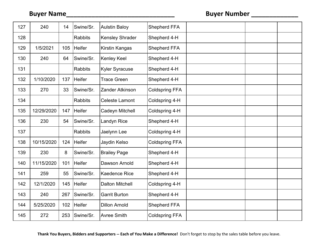| 127 | 240        | 14  | Swine/Sr.      | <b>Aulstin Baloy</b>   | <b>Shepherd FFA</b>   |  |  |
|-----|------------|-----|----------------|------------------------|-----------------------|--|--|
| 128 |            |     | <b>Rabbits</b> | <b>Kensley Shrader</b> | Shepherd 4-H          |  |  |
| 129 | 1/5/2021   | 105 | <b>Heifer</b>  | Kirstin Kangas         | Shepherd FFA          |  |  |
| 130 | 240        | 64  | Swine/Sr.      | <b>Kenley Keel</b>     | Shepherd 4-H          |  |  |
| 131 |            |     | <b>Rabbits</b> | <b>Kyler Syracuse</b>  | Shepherd 4-H          |  |  |
| 132 | 1/10/2020  | 137 | Heifer         | <b>Trace Green</b>     | Shepherd 4-H          |  |  |
| 133 | 270        | 33  | Swine/Sr.      | Zander Atkinson        | <b>Coldspring FFA</b> |  |  |
| 134 |            |     | <b>Rabbits</b> | <b>Celeste Lamont</b>  | Coldspring 4-H        |  |  |
| 135 | 12/29/2020 | 147 | <b>Heifer</b>  | Cadeyn Mitchell        | Coldspring 4-H        |  |  |
| 136 | 230        | 54  | Swine/Sr.      | Landyn Rice            | Shepherd 4-H          |  |  |
| 137 |            |     | <b>Rabbits</b> | Jaelynn Lee            | Coldspring 4-H        |  |  |
| 138 | 10/15/2020 | 124 | <b>Heifer</b>  | Jaydin Kelso           | <b>Coldspring FFA</b> |  |  |
| 139 | 230        | 8   | Swine/Sr.      | <b>Brailey Page</b>    | Shepherd 4-H          |  |  |
| 140 | 11/15/2020 | 101 | <b>Heifer</b>  | Dawson Arnold          | Shepherd 4-H          |  |  |
| 141 | 259        | 55  | Swine/Sr.      | <b>Kaedence Rice</b>   | Shepherd 4-H          |  |  |
| 142 | 12/1/2020  | 145 | <b>Heifer</b>  | <b>Dalton Mitchell</b> | Coldspring 4-H        |  |  |
| 143 | 240        | 267 | Swine/Sr.      | <b>Garrit Burton</b>   | Shepherd 4-H          |  |  |
| 144 | 5/25/2020  | 102 | <b>Heifer</b>  | <b>Dillon Arnold</b>   | Shepherd FFA          |  |  |
| 145 | 272        | 253 | Swine/Sr.      | <b>Avree Smith</b>     | <b>Coldspring FFA</b> |  |  |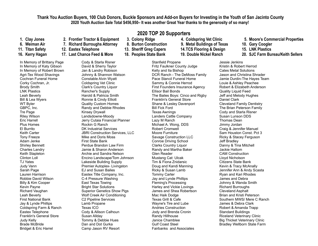#### **Thank You Auction Buyers, 100 Club Donors, Buckle Sponsors and Add-on Buyers for Investing in the Youth of San Jacinto County 2020 Youth Auction Sale Total \$456,950² It was another Great Year thanks to the generosity of so many!**

- 
- 
- 
- 

In Memory of Brittany Page In Memory of Katy Gibson In Memory of Robert Brown Agri-Tex Wood Shavings Cochran Funeral Home Corky Cochran, Jr. Brody Smith LNK Plastics Leah Beverly Bill & Lea Wyers WT Byler GBPC, Inc. Tre Page Riley Wilson Eric Harrell Plus Homes El Burrito Keith Carter Tony Freeze Adam Jenke Shirley Bennett Charles Landry Keith Stapleton Clinton Loll TJ Yates Judy Vann Sarah Page Lauren Harrison Robbie David Wilson Billy & Kim Cooper Kevin Payne Richard Vaughan Leah Beverly First National Bank Jay & Lynde Phillips Coldspring Farm & Ranch Eastex Telephone Franklin's General Store Judy Kelly Brade McBride Bridget & Eric Harrel

- -
	-

Cody & Starla Risner David & Sherry Taylor Jan & Landry Robison Johnny & Shannon Watson Constable Alvin Wyatt Coldspring Vet Clinic Clark's Country Liquor Rancher's Supply Harold & Patricia Smith Ronnie & Cindy Elliott Quality Custom Homes Randy and Debbie Rhodes Kinsey Drywall Landsdowne-Moody Jerry Cutaia Financial Planner Rockin G Ranch DK Industrial Services JBRI Construction Services, LLC Mike and Doris Moss First State Bank Perdue Brandon Law Firm Jamie & Sharon Anderson Archie and Sandra Nelson Encino Landscape/Tom Johnson Lakeside Building Supply Premier Autoplex- Livingston EJ and Susan Bailes Eastex Title Company, Inc. C-4 Pressure Washing East Texas Towing Bright Star Solutions Superior Genetics Show Pigs Wolf Creek Air Conditioning C2 Pipeline Services Lamb Propane Texas ICO Cody & Allison Calhoun Susan Allday Tommy & Debbie Hues Dan and Dot Gurka Camp Jason RV Resort

**2020 TOP 20 Supporters**

- 
- 
- 
- 

Stanfield Propane Fritz Faulkner County Judge Kelly and Ila Bishop DCR Ranch - The DeMoss Family Pace Stancil Funeral Home Sammy & Connie Herrod First Founders Insurance Agency Ellisor Bail Bonds The Bailes Boys: Cinco and Rigby Franklin's General Store Shane & Lesley Davenport Bill Fick Ford Texas Awnings Landers Cattle Company Lazy M Ranch Michael A. Wong, DDS Robert Cromwell Moore Furniture Savage Construction LLC Conroe Driving School Clarks Country Liquor Randy and Martha Baker Glen Reader Mustang Cat: Ulcak Tim & Fiona Znidarsic Doug and Kandi Manning Ricky & Susan Lamb Tommy Carter Jay and Lynde Phillips Fleming's Processing Harley and Vickie Lovings James and Shea Robertson Mac Haik Dodge Texas Grill & Cafe Wayne's Tire and Lube Andries Construction Jody and Brenda Cronin Randy Hillhouse Janice Chamblee Gulf Coast Steel Fairbanks and Associates

- 
- **6. Weiman Air 7. Richard Burroughs Attorney 8. Burton Construction 9. Metal Buildings of Texas 10. Gary Coogler**
- **11. Titan Safety 12. Eastex Telephone 13. Sheriff Greg Capers 14.TCS Flooring & Design 15. LNK Plastics**
	-

Jessie Jenkins Kristin & Robert Herrod Cates Metal Solutions Jason and Christina Shrader Jamie Durdin-The Hayes Team Louie & Ashley Peachee Robert & Elizabeth Anderson Quality Liquid Feed Jeff and Melody Hughes Daniel Clark Cleveland Family Dentistry The Brian Peterson Family Cody and Starla Risner Susan Lunson DDS Thomas Dean Jimmy Jordan Craig & Jennifer Manuel Sam Houston Const. Pct 3 Ricky & Stacey Ferguson Jeff Bradley Danny & Tina Mitchell Jackie Haltom CAM Construction Lloyd Nicholson Citizens State Bank Kevin & Tracy McAnally Jennifer Ann & Andy Scasta Ryan and Kari Rhodes James and Debra Johnny & Wanda Smith Richard Burroughs Cleveland Asphalt Brian and Kristi Peterson Southern MWS/ Mere C Ranch James & Debra Clark Robert & Amanda Trapp Standard Buildings Riceland Veterinary Clinic Big Thicket Veterinary Clinic Bradley Wellborn State Farm

- **1.** Clay Jones 2. Frontier Tractor & Equipment 3. Colony Ridge 4. Coldspring Vet Clinic 5. Moore's Commercial Properties
	-
	-
- **16. Kerry Hagan 17. Last Chance Feed & More 18. Peoples State Bank 19. Double Nickel Ranch 20. SJC Farm Bureau/Keith Sellers**